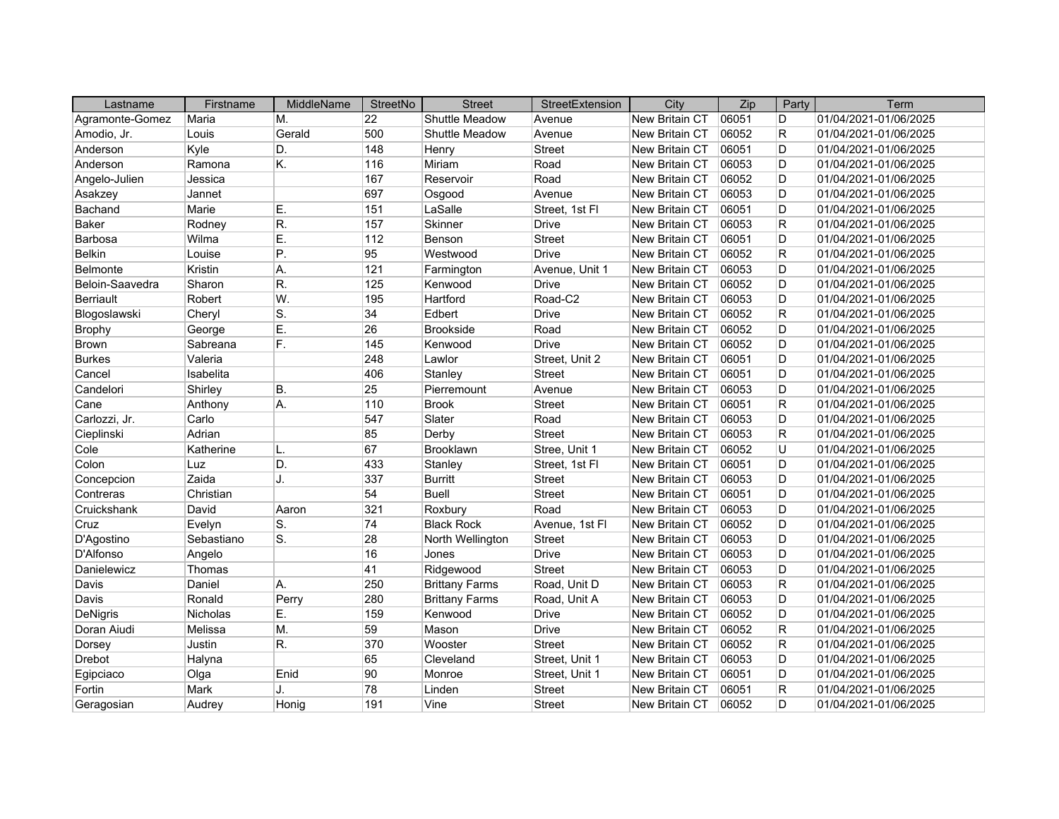| Lastname         | Firstname  | MiddleName | <b>StreetNo</b> | <b>Street</b>         | StreetExtension | City                  | Zip   | Party | Term                  |
|------------------|------------|------------|-----------------|-----------------------|-----------------|-----------------------|-------|-------|-----------------------|
| Agramonte-Gomez  | Maria      | Μ.         | 22              | <b>Shuttle Meadow</b> | Avenue          | <b>New Britain CT</b> | 06051 | D     | 01/04/2021-01/06/2025 |
| Amodio, Jr.      | Louis      | Gerald     | 500             | Shuttle Meadow        | Avenue          | New Britain CT        | 06052 | R     | 01/04/2021-01/06/2025 |
| Anderson         | Kyle       | D.         | 148             | Henry                 | <b>Street</b>   | <b>New Britain CT</b> | 06051 | D     | 01/04/2021-01/06/2025 |
| Anderson         | Ramona     | Κ.         | 116             | Miriam                | Road            | <b>New Britain CT</b> | 06053 | D     | 01/04/2021-01/06/2025 |
| Angelo-Julien    | Jessica    |            | 167             | Reservoir             | Road            | New Britain CT        | 06052 | D     | 01/04/2021-01/06/2025 |
| Asakzey          | Jannet     |            | 697             | Osgood                | Avenue          | <b>New Britain CT</b> | 06053 | D     | 01/04/2021-01/06/2025 |
| Bachand          | Marie      | Ε.         | 151             | LaSalle               | Street, 1st Fl  | <b>New Britain CT</b> | 06051 | D     | 01/04/2021-01/06/2025 |
| <b>Baker</b>     | Rodney     | R.         | 157             | Skinner               | Drive           | New Britain CT        | 06053 | R.    | 01/04/2021-01/06/2025 |
| Barbosa          | Wilma      | Ē.         | $\boxed{112}$   | Benson                | <b>Street</b>   | <b>New Britain CT</b> | 06051 | D     | 01/04/2021-01/06/2025 |
| <b>Belkin</b>    | Louise     | P.         | 95              | Westwood              | <b>Drive</b>    | New Britain CT        | 06052 | R     | 01/04/2021-01/06/2025 |
| Belmonte         | Kristin    | А.         | 121             | Farmington            | Avenue, Unit 1  | New Britain CT        | 06053 | D     | 01/04/2021-01/06/2025 |
| Beloin-Saavedra  | Sharon     | R.         | 125             | Kenwood               | <b>Drive</b>    | New Britain CT        | 06052 | D     | 01/04/2021-01/06/2025 |
| <b>Berriault</b> | Robert     | W.         | 195             | Hartford              | Road-C2         | New Britain CT        | 06053 | D     | 01/04/2021-01/06/2025 |
| Blogoslawski     | Cheryl     | S.         | 34              | Edbert                | <b>Drive</b>    | New Britain CT        | 06052 | R     | 01/04/2021-01/06/2025 |
| <b>Brophy</b>    | George     | E.         | 26              | <b>Brookside</b>      | Road            | New Britain CT        | 06052 | D     | 01/04/2021-01/06/2025 |
| <b>Brown</b>     | Sabreana   | F.         | 145             | Kenwood               | <b>Drive</b>    | <b>New Britain CT</b> | 06052 | D     | 01/04/2021-01/06/2025 |
| <b>Burkes</b>    | Valeria    |            | 248             | Lawlor                | Street, Unit 2  | <b>New Britain CT</b> | 06051 | D     | 01/04/2021-01/06/2025 |
| Cancel           | Isabelita  |            | 406             | Stanley               | <b>Street</b>   | New Britain CT        | 06051 | D     | 01/04/2021-01/06/2025 |
| Candelori        | Shirley    | Β.         | 25              | Pierremount           | Avenue          | New Britain CT        | 06053 | D     | 01/04/2021-01/06/2025 |
| Cane             | Anthony    | А.         | 110             | <b>Brook</b>          | <b>Street</b>   | <b>New Britain CT</b> | 06051 | R     | 01/04/2021-01/06/2025 |
| Carlozzi, Jr.    | Carlo      |            | 547             | Slater                | Road            | <b>New Britain CT</b> | 06053 | D     | 01/04/2021-01/06/2025 |
| Cieplinski       | Adrian     |            | 85              | Derby                 | <b>Street</b>   | New Britain CT        | 06053 | R     | 01/04/2021-01/06/2025 |
| Cole             | Katherine  | L.         | 67              | Brooklawn             | Stree, Unit 1   | <b>New Britain CT</b> | 06052 | U     | 01/04/2021-01/06/2025 |
| Colon            | Luz        | D.         | 433             | Stanley               | Street, 1st Fl  | New Britain CT        | 06051 | D     | 01/04/2021-01/06/2025 |
| Concepcion       | Zaida      | J.         | 337             | <b>Burritt</b>        | <b>Street</b>   | New Britain CT        | 06053 | D     | 01/04/2021-01/06/2025 |
| Contreras        | Christian  |            | 54              | <b>Buell</b>          | <b>Street</b>   | New Britain CT        | 06051 | D     | 01/04/2021-01/06/2025 |
| Cruickshank      | David      | Aaron      | 321             | Roxbury               | Road            | New Britain CT        | 06053 | D     | 01/04/2021-01/06/2025 |
| Cruz             | Evelyn     | S.         | 74              | <b>Black Rock</b>     | Avenue, 1st Fl  | <b>New Britain CT</b> | 06052 | D     | 01/04/2021-01/06/2025 |
| D'Agostino       | Sebastiano | S.         | 28              | North Wellington      | <b>Street</b>   | New Britain CT        | 06053 | D     | 01/04/2021-01/06/2025 |
| D'Alfonso        | Angelo     |            | 16              | Jones                 | <b>Drive</b>    | New Britain CT        | 06053 | D     | 01/04/2021-01/06/2025 |
| Danielewicz      | Thomas     |            | 41              | Ridgewood             | <b>Street</b>   | New Britain CT        | 06053 | D     | 01/04/2021-01/06/2025 |
| Davis            | Daniel     | А.         | 250             | <b>Brittany Farms</b> | Road, Unit D    | <b>New Britain CT</b> | 06053 | R     | 01/04/2021-01/06/2025 |
| Davis            | Ronald     | Perry      | 280             | <b>Brittany Farms</b> | Road, Unit A    | <b>New Britain CT</b> | 06053 | D     | 01/04/2021-01/06/2025 |
| DeNigris         | Nicholas   | Ε.         | 159             | Kenwood               | <b>Drive</b>    | New Britain CT        | 06052 | D     | 01/04/2021-01/06/2025 |
| Doran Aiudi      | Melissa    | M.         | 59              | Mason                 | <b>Drive</b>    | New Britain CT        | 06052 | R     | 01/04/2021-01/06/2025 |
| Dorsey           | Justin     | R.         | 370             | Wooster               | <b>Street</b>   | New Britain CT        | 06052 | R.    | 01/04/2021-01/06/2025 |
| Drebot           | Halyna     |            | 65              | Cleveland             | Street, Unit 1  | <b>New Britain CT</b> | 06053 | D     | 01/04/2021-01/06/2025 |
| Egipciaco        | Olga       | Enid       | 90              | Monroe                | Street, Unit 1  | New Britain CT        | 06051 | D     | 01/04/2021-01/06/2025 |
| Fortin           | Mark       | J.         | 78              | Linden                | <b>Street</b>   | New Britain CT        | 06051 | R     | 01/04/2021-01/06/2025 |
| Geragosian       | Audrey     | Honig      | 191             | Vine                  | <b>Street</b>   | <b>New Britain CT</b> | 06052 | D     | 01/04/2021-01/06/2025 |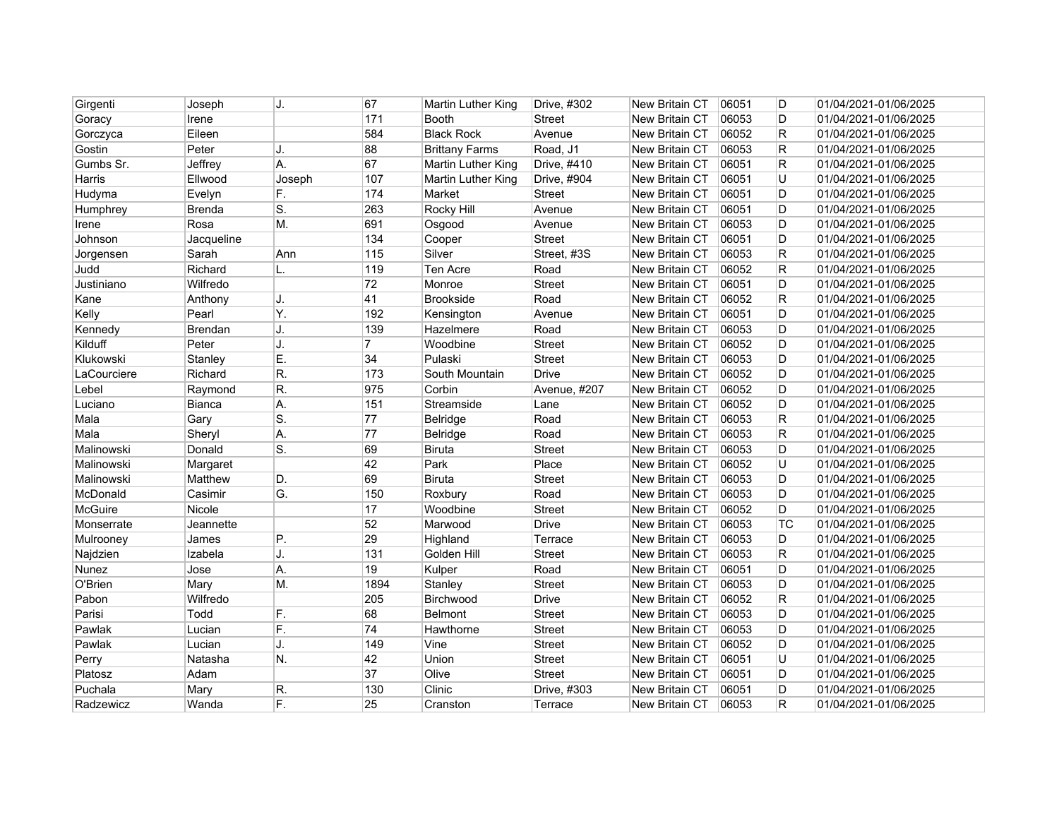| Girgenti    | Joseph         | IJ.              | 67             | Martin Luther King    | Drive, #302   | New Britain CT | 06051 | D  | 01/04/2021-01/06/2025 |
|-------------|----------------|------------------|----------------|-----------------------|---------------|----------------|-------|----|-----------------------|
| Goracy      | Irene          |                  | 171            | Booth                 | <b>Street</b> | New Britain CT | 06053 | D  | 01/04/2021-01/06/2025 |
| Gorczyca    | Eileen         |                  | 584            | <b>Black Rock</b>     | Avenue        | New Britain CT | 06052 | R  | 01/04/2021-01/06/2025 |
| Gostin      | Peter          | J.               | 88             | <b>Brittany Farms</b> | Road, J1      | New Britain CT | 06053 | R  | 01/04/2021-01/06/2025 |
| Gumbs Sr.   | Jeffrey        | А.               | 67             | Martin Luther King    | Drive, #410   | New Britain CT | 06051 | R  | 01/04/2021-01/06/2025 |
| Harris      | Ellwood        | Joseph           | 107            | Martin Luther King    | Drive, #904   | New Britain CT | 06051 | U  | 01/04/2021-01/06/2025 |
| Hudyma      | Evelyn         | F.               | 174            | Market                | <b>Street</b> | New Britain CT | 06051 | D  | 01/04/2021-01/06/2025 |
| Humphrey    | <b>Brenda</b>  | S.               | 263            | Rocky Hill            | Avenue        | New Britain CT | 06051 | D  | 01/04/2021-01/06/2025 |
| Irene       | Rosa           | M.               | 691            | Osgood                | Avenue        | New Britain CT | 06053 | D  | 01/04/2021-01/06/2025 |
| Johnson     | Jacqueline     |                  | 134            | Cooper                | <b>Street</b> | New Britain CT | 06051 | D  | 01/04/2021-01/06/2025 |
| Jorgensen   | Sarah          | Ann              | 115            | Silver                | Street, #3S   | New Britain CT | 06053 | R  | 01/04/2021-01/06/2025 |
| Judd        | Richard        | L.               | 119            | Ten Acre              | Road          | New Britain CT | 06052 | R  | 01/04/2021-01/06/2025 |
| Justiniano  | Wilfredo       |                  | 72             | Monroe                | <b>Street</b> | New Britain CT | 06051 | D  | 01/04/2021-01/06/2025 |
| Kane        | Anthony        | IJ.              | 41             | <b>Brookside</b>      | Road          | New Britain CT | 06052 | R  | 01/04/2021-01/06/2025 |
| Kelly       | Pearl          | Y.               | 192            | Kensington            | Avenue        | New Britain CT | 06051 | D  | 01/04/2021-01/06/2025 |
| Kennedy     | <b>Brendan</b> | J.               | 139            | Hazelmere             | Road          | New Britain CT | 06053 | D  | 01/04/2021-01/06/2025 |
| Kilduff     | Peter          | J.               | $\overline{7}$ | Woodbine              | <b>Street</b> | New Britain CT | 06052 | D  | 01/04/2021-01/06/2025 |
| Klukowski   | Stanley        | E.               | 34             | Pulaski               | <b>Street</b> | New Britain CT | 06053 | D  | 01/04/2021-01/06/2025 |
| LaCourciere | Richard        | R.               | 173            | South Mountain        | <b>Drive</b>  | New Britain CT | 06052 | D  | 01/04/2021-01/06/2025 |
| Lebel       | Raymond        | R.               | 975            | Corbin                | Avenue, #207  | New Britain CT | 06052 | D  | 01/04/2021-01/06/2025 |
| Luciano     | Bianca         | А.               | 151            | Streamside            | Lane          | New Britain CT | 06052 | D  | 01/04/2021-01/06/2025 |
| Mala        | Gary           | S.               | 77             | Belridge              | Road          | New Britain CT | 06053 | R  | 01/04/2021-01/06/2025 |
| Mala        | Sheryl         | A.               | 77             | Belridge              | Road          | New Britain CT | 06053 | R  | 01/04/2021-01/06/2025 |
| Malinowski  | Donald         | S.               | 69             | <b>Biruta</b>         | <b>Street</b> | New Britain CT | 06053 | D  | 01/04/2021-01/06/2025 |
| Malinowski  | Margaret       |                  | 42             | Park                  | Place         | New Britain CT | 06052 | U  | 01/04/2021-01/06/2025 |
| Malinowski  | Matthew        | ID.              | 69             | <b>Biruta</b>         | Street        | New Britain CT | 06053 | D  | 01/04/2021-01/06/2025 |
| McDonald    | Casimir        | $\overline{G}$ . | 150            | Roxbury               | Road          | New Britain CT | 06053 | D  | 01/04/2021-01/06/2025 |
| McGuire     | Nicole         |                  | 17             | Woodbine              | <b>Street</b> | New Britain CT | 06052 | D  | 01/04/2021-01/06/2025 |
| Monserrate  | Jeannette      |                  | 52             | Marwood               | <b>Drive</b>  | New Britain CT | 06053 | ТC | 01/04/2021-01/06/2025 |
| Mulrooney   | James          | Р.               | 29             | Highland              | Terrace       | New Britain CT | 06053 | D  | 01/04/2021-01/06/2025 |
| Najdzien    | Izabela        | J.               | 131            | Golden Hill           | <b>Street</b> | New Britain CT | 06053 | R  | 01/04/2021-01/06/2025 |
| Nunez       | Jose           | A.               | 19             | Kulper                | Road          | New Britain CT | 06051 | D  | 01/04/2021-01/06/2025 |
| O'Brien     | Mary           | M.               | 1894           | Stanley               | <b>Street</b> | New Britain CT | 06053 | D  | 01/04/2021-01/06/2025 |
| Pabon       | Wilfredo       |                  | 205            | Birchwood             | Drive         | New Britain CT | 06052 | R  | 01/04/2021-01/06/2025 |
| Parisi      | Todd           | F.               | 68             | <b>Belmont</b>        | <b>Street</b> | New Britain CT | 06053 | D  | 01/04/2021-01/06/2025 |
| Pawlak      | Lucian         | $\overline{F}$ . | 74             | Hawthorne             | <b>Street</b> | New Britain CT | 06053 | D  | 01/04/2021-01/06/2025 |
| Pawlak      | Lucian         | J.               | 149            | Vine                  | <b>Street</b> | New Britain CT | 06052 | D  | 01/04/2021-01/06/2025 |
| Perry       | Natasha        | IN.              | 42             | Union                 | Street        | New Britain CT | 06051 | U  | 01/04/2021-01/06/2025 |
| Platosz     | Adam           |                  | 37             | Olive                 | <b>Street</b> | New Britain CT | 06051 | D  | 01/04/2021-01/06/2025 |
| Puchala     | Mary           | R.               | 130            | Clinic                | Drive, #303   | New Britain CT | 06051 | D  | 01/04/2021-01/06/2025 |
| Radzewicz   | Wanda          | F.               | 25             | Cranston              | Terrace       | New Britain CT | 06053 | R. | 01/04/2021-01/06/2025 |